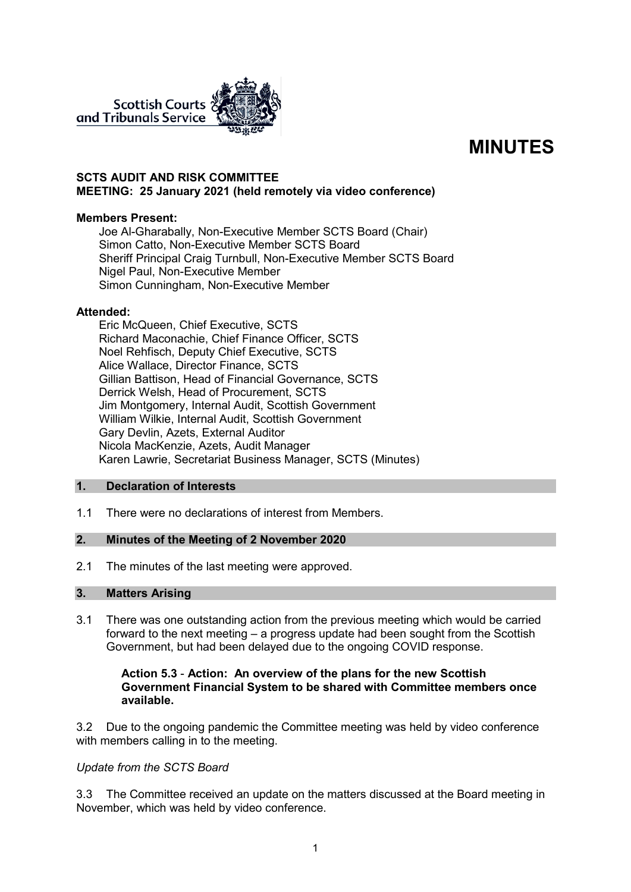

# **MINUTES**

## **SCTS AUDIT AND RISK COMMITTEE MEETING: 25 January 2021 (held remotely via video conference)**

#### **Members Present:**

Joe Al-Gharabally, Non-Executive Member SCTS Board (Chair) Simon Catto, Non-Executive Member SCTS Board Sheriff Principal Craig Turnbull, Non-Executive Member SCTS Board Nigel Paul, Non-Executive Member Simon Cunningham, Non-Executive Member

#### **Attended:**

Eric McQueen, Chief Executive, SCTS Richard Maconachie, Chief Finance Officer, SCTS Noel Rehfisch, Deputy Chief Executive, SCTS Alice Wallace, Director Finance, SCTS Gillian Battison, Head of Financial Governance, SCTS Derrick Welsh, Head of Procurement, SCTS Jim Montgomery, Internal Audit, Scottish Government William Wilkie, Internal Audit, Scottish Government Gary Devlin, Azets, External Auditor Nicola MacKenzie, Azets, Audit Manager Karen Lawrie, Secretariat Business Manager, SCTS (Minutes)

## **1. Declaration of Interests**

1.1 There were no declarations of interest from Members.

# **2. Minutes of the Meeting of 2 November 2020**

2.1 The minutes of the last meeting were approved.

#### **3. Matters Arising**

3.1 There was one outstanding action from the previous meeting which would be carried forward to the next meeting – a progress update had been sought from the Scottish Government, but had been delayed due to the ongoing COVID response.

### **Action 5.3** - **Action: An overview of the plans for the new Scottish Government Financial System to be shared with Committee members once available.**

3.2 Due to the ongoing pandemic the Committee meeting was held by video conference with members calling in to the meeting.

## *Update from the SCTS Board*

3.3 The Committee received an update on the matters discussed at the Board meeting in November, which was held by video conference.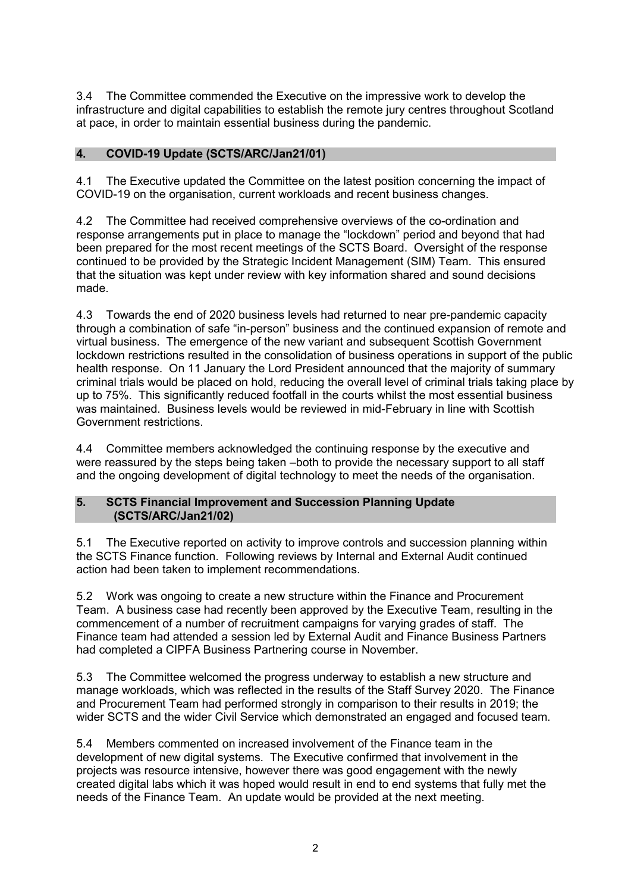3.4 The Committee commended the Executive on the impressive work to develop the infrastructure and digital capabilities to establish the remote jury centres throughout Scotland at pace, in order to maintain essential business during the pandemic.

# **4. COVID-19 Update (SCTS/ARC/Jan21/01)**

4.1 The Executive updated the Committee on the latest position concerning the impact of COVID-19 on the organisation, current workloads and recent business changes.

4.2 The Committee had received comprehensive overviews of the co-ordination and response arrangements put in place to manage the "lockdown" period and beyond that had been prepared for the most recent meetings of the SCTS Board. Oversight of the response continued to be provided by the Strategic Incident Management (SIM) Team. This ensured that the situation was kept under review with key information shared and sound decisions made.

4.3 Towards the end of 2020 business levels had returned to near pre-pandemic capacity through a combination of safe "in-person" business and the continued expansion of remote and virtual business. The emergence of the new variant and subsequent Scottish Government lockdown restrictions resulted in the consolidation of business operations in support of the public health response. On 11 January the Lord President announced that the majority of summary criminal trials would be placed on hold, reducing the overall level of criminal trials taking place by up to 75%. This significantly reduced footfall in the courts whilst the most essential business was maintained. Business levels would be reviewed in mid-February in line with Scottish Government restrictions.

4.4 Committee members acknowledged the continuing response by the executive and were reassured by the steps being taken –both to provide the necessary support to all staff and the ongoing development of digital technology to meet the needs of the organisation.

#### **5. SCTS Financial Improvement and Succession Planning Update (SCTS/ARC/Jan21/02)**

5.1 The Executive reported on activity to improve controls and succession planning within the SCTS Finance function. Following reviews by Internal and External Audit continued action had been taken to implement recommendations.

5.2 Work was ongoing to create a new structure within the Finance and Procurement Team. A business case had recently been approved by the Executive Team, resulting in the commencement of a number of recruitment campaigns for varying grades of staff. The Finance team had attended a session led by External Audit and Finance Business Partners had completed a CIPFA Business Partnering course in November.

5.3 The Committee welcomed the progress underway to establish a new structure and manage workloads, which was reflected in the results of the Staff Survey 2020. The Finance and Procurement Team had performed strongly in comparison to their results in 2019; the wider SCTS and the wider Civil Service which demonstrated an engaged and focused team.

5.4 Members commented on increased involvement of the Finance team in the development of new digital systems. The Executive confirmed that involvement in the projects was resource intensive, however there was good engagement with the newly created digital labs which it was hoped would result in end to end systems that fully met the needs of the Finance Team. An update would be provided at the next meeting.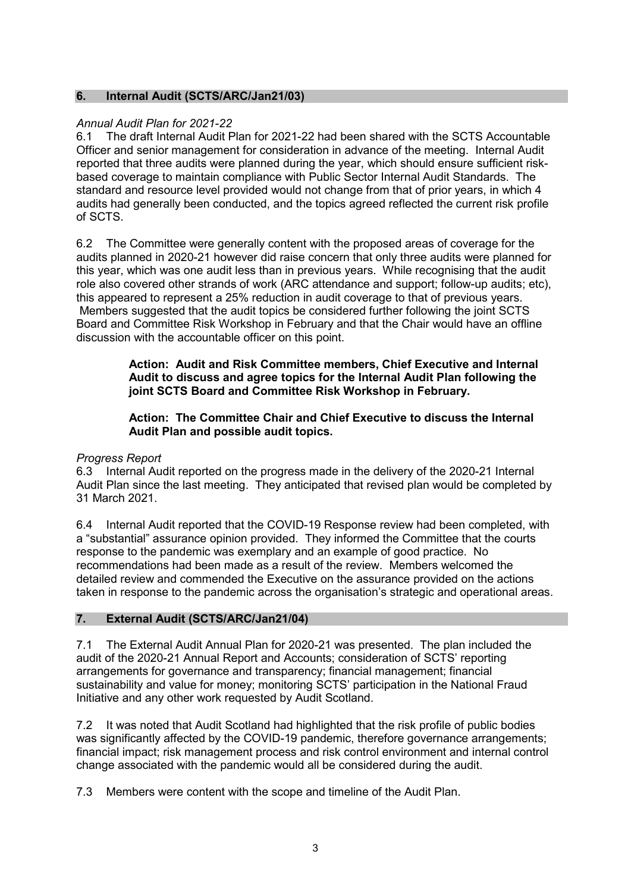## **6. Internal Audit (SCTS/ARC/Jan21/03)**

## *Annual Audit Plan for 2021-22*

6.1 The draft Internal Audit Plan for 2021-22 had been shared with the SCTS Accountable Officer and senior management for consideration in advance of the meeting. Internal Audit reported that three audits were planned during the year, which should ensure sufficient riskbased coverage to maintain compliance with Public Sector Internal Audit Standards. The standard and resource level provided would not change from that of prior years, in which 4 audits had generally been conducted, and the topics agreed reflected the current risk profile of SCTS.

6.2 The Committee were generally content with the proposed areas of coverage for the audits planned in 2020-21 however did raise concern that only three audits were planned for this year, which was one audit less than in previous years. While recognising that the audit role also covered other strands of work (ARC attendance and support; follow-up audits; etc), this appeared to represent a 25% reduction in audit coverage to that of previous years. Members suggested that the audit topics be considered further following the joint SCTS Board and Committee Risk Workshop in February and that the Chair would have an offline discussion with the accountable officer on this point.

> **Action: Audit and Risk Committee members, Chief Executive and Internal Audit to discuss and agree topics for the Internal Audit Plan following the joint SCTS Board and Committee Risk Workshop in February.**

**Action: The Committee Chair and Chief Executive to discuss the Internal Audit Plan and possible audit topics.**

#### *Progress Report*

6.3 Internal Audit reported on the progress made in the delivery of the 2020-21 Internal Audit Plan since the last meeting. They anticipated that revised plan would be completed by 31 March 2021.

6.4 Internal Audit reported that the COVID-19 Response review had been completed, with a "substantial" assurance opinion provided. They informed the Committee that the courts response to the pandemic was exemplary and an example of good practice. No recommendations had been made as a result of the review. Members welcomed the detailed review and commended the Executive on the assurance provided on the actions taken in response to the pandemic across the organisation's strategic and operational areas.

#### **7. External Audit (SCTS/ARC/Jan21/04)**

7.1 The External Audit Annual Plan for 2020-21 was presented. The plan included the audit of the 2020-21 Annual Report and Accounts; consideration of SCTS' reporting arrangements for governance and transparency; financial management; financial sustainability and value for money; monitoring SCTS' participation in the National Fraud Initiative and any other work requested by Audit Scotland.

7.2 It was noted that Audit Scotland had highlighted that the risk profile of public bodies was significantly affected by the COVID-19 pandemic, therefore governance arrangements; financial impact; risk management process and risk control environment and internal control change associated with the pandemic would all be considered during the audit.

7.3 Members were content with the scope and timeline of the Audit Plan.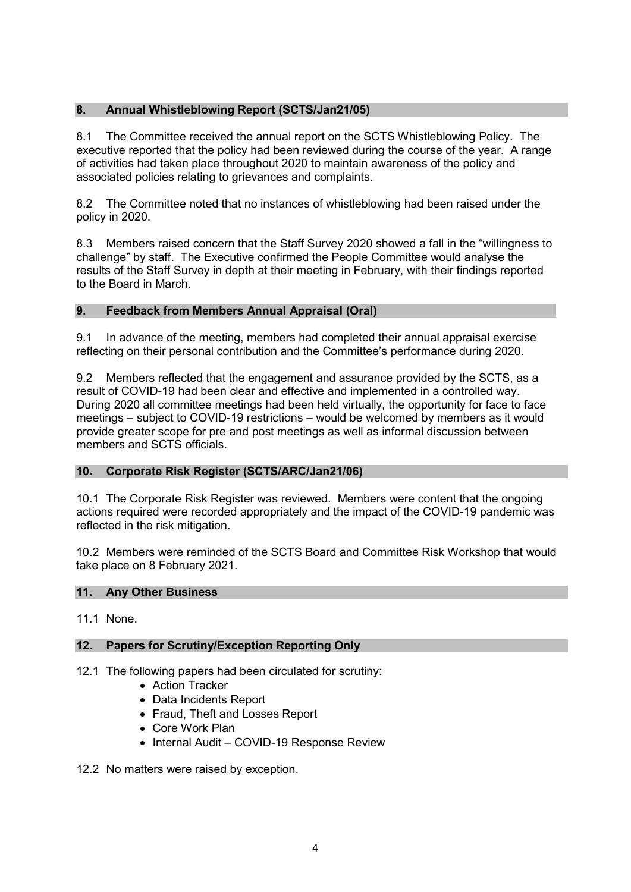# **8. Annual Whistleblowing Report (SCTS/Jan21/05)**

8.1 The Committee received the annual report on the SCTS Whistleblowing Policy. The executive reported that the policy had been reviewed during the course of the year. A range of activities had taken place throughout 2020 to maintain awareness of the policy and associated policies relating to grievances and complaints.

8.2 The Committee noted that no instances of whistleblowing had been raised under the policy in 2020.

8.3 Members raised concern that the Staff Survey 2020 showed a fall in the "willingness to challenge" by staff. The Executive confirmed the People Committee would analyse the results of the Staff Survey in depth at their meeting in February, with their findings reported to the Board in March.

# **9. Feedback from Members Annual Appraisal (Oral)**

9.1 In advance of the meeting, members had completed their annual appraisal exercise reflecting on their personal contribution and the Committee's performance during 2020.

9.2 Members reflected that the engagement and assurance provided by the SCTS, as a result of COVID-19 had been clear and effective and implemented in a controlled way. During 2020 all committee meetings had been held virtually, the opportunity for face to face meetings – subject to COVID-19 restrictions – would be welcomed by members as it would provide greater scope for pre and post meetings as well as informal discussion between members and SCTS officials.

# **10. Corporate Risk Register (SCTS/ARC/Jan21/06)**

10.1 The Corporate Risk Register was reviewed. Members were content that the ongoing actions required were recorded appropriately and the impact of the COVID-19 pandemic was reflected in the risk mitigation.

10.2 Members were reminded of the SCTS Board and Committee Risk Workshop that would take place on 8 February 2021.

## **11. Any Other Business**

11.1 None.

## **12. Papers for Scrutiny/Exception Reporting Only**

- 12.1 The following papers had been circulated for scrutiny:
	- Action Tracker
	- Data Incidents Report
	- Fraud, Theft and Losses Report
	- Core Work Plan
	- Internal Audit COVID-19 Response Review
- 12.2 No matters were raised by exception.